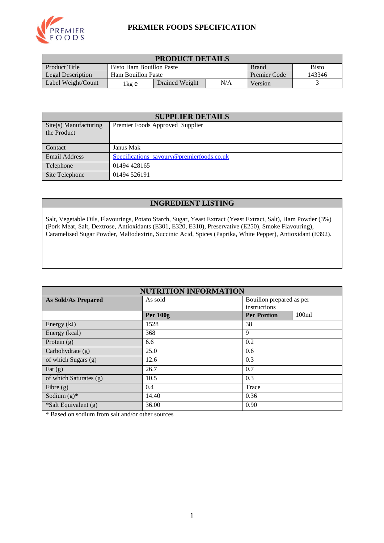

#### **PREMIER FOODS SPECIFICATION**

| <b>PRODUCT DETAILS</b> |                                                          |  |  |                     |        |  |
|------------------------|----------------------------------------------------------|--|--|---------------------|--------|--|
| <b>Product Title</b>   | <b>Bisto</b><br>Bisto Ham Bouillon Paste<br><b>Brand</b> |  |  |                     |        |  |
| Legal Description      | Ham Bouillon Paste                                       |  |  | <b>Premier Code</b> | 143346 |  |
| Label Weight/Count     | N/A<br>Drained Weight<br>lkg e                           |  |  | Version             |        |  |

| <b>SUPPLIER DETAILS</b>              |                                           |  |  |  |
|--------------------------------------|-------------------------------------------|--|--|--|
| Site(s) Manufacturing<br>the Product | Premier Foods Approved Supplier           |  |  |  |
| Contact                              | Janus Mak                                 |  |  |  |
| <b>Email Address</b>                 | Specifications_savoury@premierfoods.co.uk |  |  |  |
| Telephone                            | 01494 428165                              |  |  |  |
| Site Telephone                       | 01494 526191                              |  |  |  |

#### **INGREDIENT LISTING**

Salt, Vegetable Oils, Flavourings, Potato Starch, Sugar, Yeast Extract (Yeast Extract, Salt), Ham Powder (3%) (Pork Meat, Salt, Dextrose, Antioxidants (E301, E320, E310), Preservative (E250), Smoke Flavouring), Caramelised Sugar Powder, Maltodextrin, Succinic Acid, Spices (Paprika, White Pepper), Antioxidant (E392).

| <b>NUTRITION INFORMATION</b> |                 |                          |       |  |  |
|------------------------------|-----------------|--------------------------|-------|--|--|
| <b>As Sold/As Prepared</b>   | As sold         | Bouillon prepared as per |       |  |  |
|                              |                 | instructions             |       |  |  |
|                              | <b>Per 100g</b> | <b>Per Portion</b>       | 100ml |  |  |
| Energy (kJ)                  | 1528            | 38                       |       |  |  |
| Energy (kcal)                | 368             | 9                        |       |  |  |
| Protein $(g)$                | 6.6             | 0.2                      |       |  |  |
| Carbohydrate (g)             | 25.0            | 0.6                      |       |  |  |
| of which Sugars (g)          | 12.6            | 0.3                      |       |  |  |
| Fat $(g)$                    | 26.7            | 0.7                      |       |  |  |
| of which Saturates (g)       | 10.5            | 0.3                      |       |  |  |
| Fibre $(g)$                  | 0.4             | Trace                    |       |  |  |
| Sodium $(g)^*$               | 14.40           | 0.36                     |       |  |  |
| *Salt Equivalent (g)         | 36.00           | 0.90                     |       |  |  |

\* Based on sodium from salt and/or other sources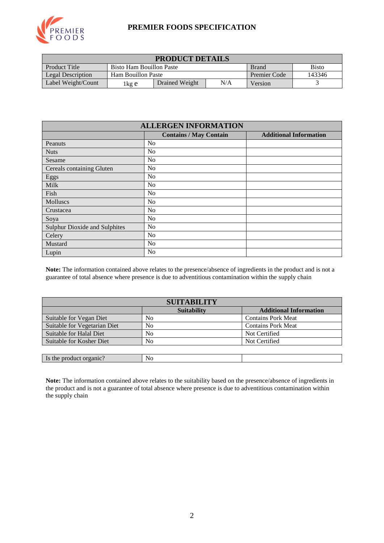

### **PREMIER FOODS SPECIFICATION**

| <b>PRODUCT DETAILS</b>   |                                                          |                |                     |        |  |
|--------------------------|----------------------------------------------------------|----------------|---------------------|--------|--|
| Product Title            | <b>Bisto</b><br>Bisto Ham Bouillon Paste<br><b>Brand</b> |                |                     |        |  |
| <b>Legal Description</b> | Ham Bouillon Paste                                       |                | <b>Premier Code</b> | 143346 |  |
| Label Weight/Count       | 1 kg e                                                   | Drained Weight | Version             |        |  |

| <b>ALLERGEN INFORMATION</b>          |                               |                               |  |  |  |
|--------------------------------------|-------------------------------|-------------------------------|--|--|--|
|                                      | <b>Contains / May Contain</b> | <b>Additional Information</b> |  |  |  |
| Peanuts                              | No                            |                               |  |  |  |
| <b>Nuts</b>                          | N <sub>0</sub>                |                               |  |  |  |
| Sesame                               | No                            |                               |  |  |  |
| Cereals containing Gluten            | N <sub>0</sub>                |                               |  |  |  |
| Eggs                                 | N <sub>0</sub>                |                               |  |  |  |
| Milk                                 | No                            |                               |  |  |  |
| Fish                                 | N <sub>o</sub>                |                               |  |  |  |
| Molluscs                             | No                            |                               |  |  |  |
| Crustacea                            | N <sub>0</sub>                |                               |  |  |  |
| Soya                                 | N <sub>0</sub>                |                               |  |  |  |
| <b>Sulphur Dioxide and Sulphites</b> | No                            |                               |  |  |  |
| Celery                               | N <sub>0</sub>                |                               |  |  |  |
| Mustard                              | N <sub>0</sub>                |                               |  |  |  |
| Lupin                                | No                            |                               |  |  |  |

**Note:** The information contained above relates to the presence/absence of ingredients in the product and is not a guarantee of total absence where presence is due to adventitious contamination within the supply chain

| <b>SUITABILITY</b>           |                    |                               |  |  |  |
|------------------------------|--------------------|-------------------------------|--|--|--|
|                              | <b>Suitability</b> | <b>Additional Information</b> |  |  |  |
| Suitable for Vegan Diet      | No                 | <b>Contains Pork Meat</b>     |  |  |  |
| Suitable for Vegetarian Diet | N <sub>0</sub>     | <b>Contains Pork Meat</b>     |  |  |  |
| Suitable for Halal Diet      | No                 | Not Certified                 |  |  |  |
| Suitable for Kosher Diet     | No                 | Not Certified                 |  |  |  |
|                              |                    |                               |  |  |  |
| Is the product organic?      | No                 |                               |  |  |  |

**Note:** The information contained above relates to the suitability based on the presence/absence of ingredients in the product and is not a guarantee of total absence where presence is due to adventitious contamination within the supply chain